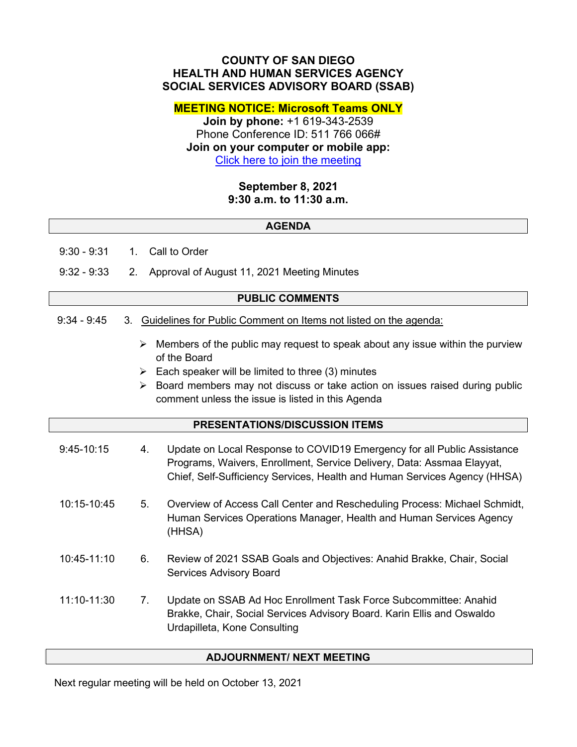## **COUNTY OF SAN DIEGO HEALTH AND HUMAN SERVICES AGENCY SOCIAL SERVICES ADVISORY BOARD (SSAB)**

**MEETING NOTICE: Microsoft Teams ONLY**

**Join by phone:** +1 619-343-2539 Phone Conference ID: 511 766 066# **Join on your computer or mobile app:** [Click here to join the meeting](https://teams.microsoft.com/l/meetup-join/19%3ameeting_ZWIyMmM5YzQtOGI2Mi00NmI0LTgyODMtOTJmNzJiMjVhMjBm%40thread.v2/0?context=%7b%22Tid%22%3a%224563af13-c029-41b3-b74c-965e8eec8f96%22%2c%22Oid%22%3a%2239a7bf66-6a88-4ff0-a899-61ea07a9b67c%22%7d)

> **September 8, 2021 9:30 a.m. to 11:30 a.m.**

## **AGENDA**

9:30 - 9:31 1. Call to Order

9:32 - 9:33 2. Approval of August 11, 2021 Meeting Minutes

#### **PUBLIC COMMENTS**

## 9:34 - 9:45 3. Guidelines for Public Comment on Items not listed on the agenda:

- $\triangleright$  Members of the public may request to speak about any issue within the purview of the Board
- $\triangleright$  Each speaker will be limited to three (3) minutes
- $\triangleright$  Board members may not discuss or take action on issues raised during public comment unless the issue is listed in this Agenda

#### **PRESENTATIONS/DISCUSSION ITEMS**

| $9:45-10:15$ | 4. | Update on Local Response to COVID19 Emergency for all Public Assistance<br>Programs, Waivers, Enrollment, Service Delivery, Data: Assmaa Elayyat,<br>Chief, Self-Sufficiency Services, Health and Human Services Agency (HHSA) |
|--------------|----|--------------------------------------------------------------------------------------------------------------------------------------------------------------------------------------------------------------------------------|
| 10:15-10:45  | 5. | Overview of Access Call Center and Rescheduling Process: Michael Schmidt,<br>Human Services Operations Manager, Health and Human Services Agency<br>(HHSA)                                                                     |
| 10:45-11:10  | 6. | Review of 2021 SSAB Goals and Objectives: Anahid Brakke, Chair, Social<br><b>Services Advisory Board</b>                                                                                                                       |
| 11:10-11:30  | 7. | Update on SSAB Ad Hoc Enrollment Task Force Subcommittee: Anahid<br>Brakke, Chair, Social Services Advisory Board. Karin Ellis and Oswaldo<br>Urdapilleta, Kone Consulting                                                     |

# **ADJOURNMENT/ NEXT MEETING**

Next regular meeting will be held on October 13, 2021